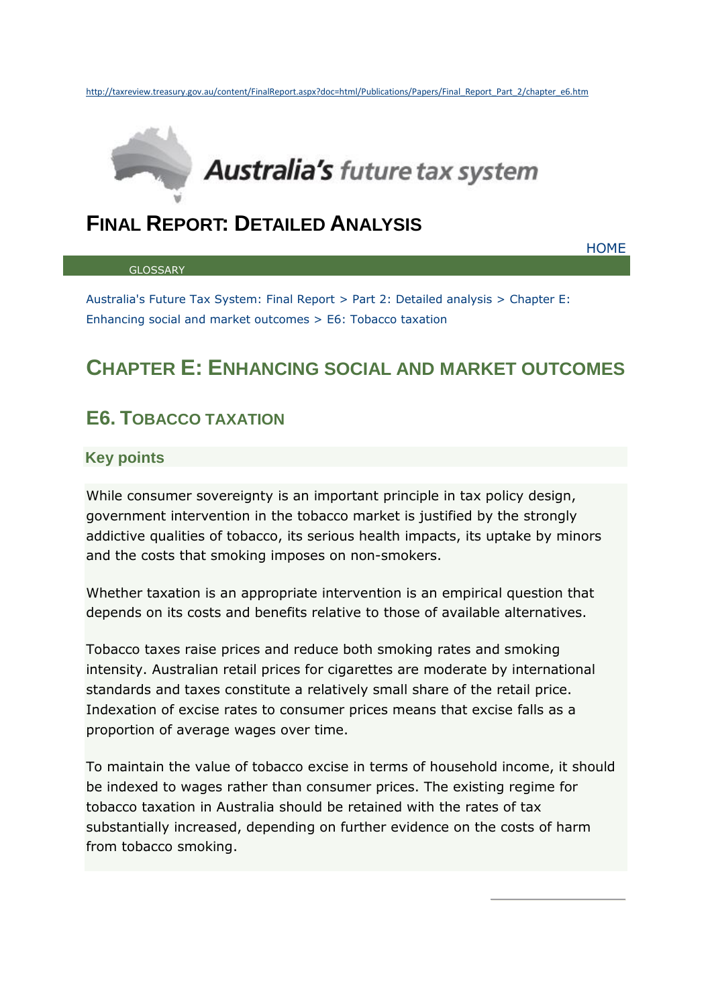

# **FINAL REPORT: DETAILED ANALYSIS**

**[GLOSSARY](http://taxreview.treasury.gov.au/content/FinalReport.aspx?doc=html/Publications/Papers/Final_Report_Part_2/glossary.htm)** 

**[HOME](http://taxreview.treasury.gov.au/content/Content.aspx?doc=html/home.htm)** 

[Australia's Future Tax System: Final Report](http://taxreview.treasury.gov.au/content/FinalReport.aspx?doc=html/publications/Papers/Final_Report_Part_2/index.htm) > [Part 2: Detailed analysis](http://taxreview.treasury.gov.au/content/FinalReport.aspx?doc=html/publications/Papers/Final_Report_Part_2/introduction.htm) > [Chapter E:](http://taxreview.treasury.gov.au/content/FinalReport.aspx?doc=html/publications/Papers/Final_Report_Part_2/chapter_e.htm)  [Enhancing social and market outcomes](http://taxreview.treasury.gov.au/content/FinalReport.aspx?doc=html/publications/Papers/Final_Report_Part_2/chapter_e.htm) > E6: Tobacco taxation

# **CHAPTER E: ENHANCING SOCIAL AND MARKET OUTCOMES**

# **E6. TOBACCO TAXATION**

### **Key points**

While consumer sovereignty is an important principle in tax policy design, government intervention in the tobacco market is justified by the strongly addictive qualities of tobacco, its serious health impacts, its uptake by minors and the costs that smoking imposes on non-smokers.

Whether taxation is an appropriate intervention is an empirical question that depends on its costs and benefits relative to those of available alternatives.

Tobacco taxes raise prices and reduce both smoking rates and smoking intensity. Australian retail prices for cigarettes are moderate by international standards and taxes constitute a relatively small share of the retail price. Indexation of excise rates to consumer prices means that excise falls as a proportion of average wages over time.

To maintain the value of tobacco excise in terms of household income, it should be indexed to wages rather than consumer prices. The existing regime for tobacco taxation in Australia should be retained with the rates of tax substantially increased, depending on further evidence on the costs of harm from tobacco smoking.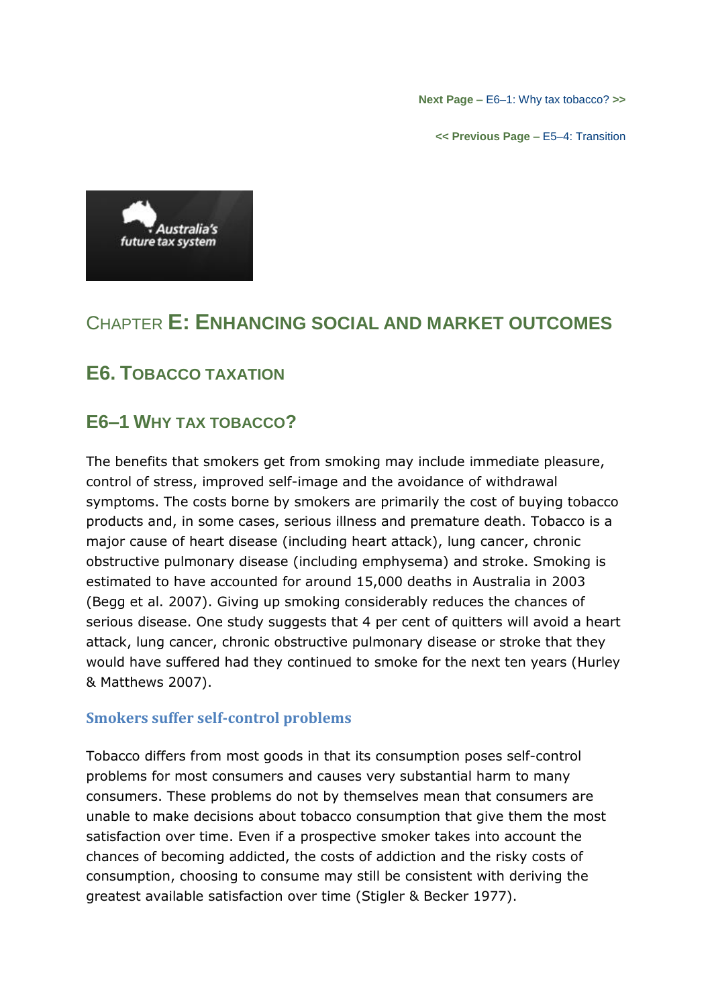**Next Page –** [E6–1: Why tax tobacco?](http://taxreview.treasury.gov.au/content/FinalReport.aspx?doc=html/publications/Papers/Final_Report_Part_2/chapter_e6-1.htm) **>>**

**<< Previous Page –** [E5–4: Transition](http://taxreview.treasury.gov.au/content/FinalReport.aspx?doc=html/publications/Papers/Final_Report_Part_2/chapter_e5-4.htm)



# CHAPTER **E: ENHANCING SOCIAL AND MARKET OUTCOMES**

# **E6. TOBACCO TAXATION**

## **E6–1 WHY TAX TOBACCO?**

The benefits that smokers get from smoking may include immediate pleasure, control of stress, improved self-image and the avoidance of withdrawal symptoms. The costs borne by smokers are primarily the cost of buying tobacco products and, in some cases, serious illness and premature death. Tobacco is a major cause of heart disease (including heart attack), lung cancer, chronic obstructive pulmonary disease (including emphysema) and stroke. Smoking is estimated to have accounted for around 15,000 deaths in Australia in 2003 (Begg et al. 2007). Giving up smoking considerably reduces the chances of serious disease. One study suggests that 4 per cent of quitters will avoid a heart attack, lung cancer, chronic obstructive pulmonary disease or stroke that they would have suffered had they continued to smoke for the next ten years (Hurley & Matthews 2007).

### **Smokers suffer self-control problems**

Tobacco differs from most goods in that its consumption poses self-control problems for most consumers and causes very substantial harm to many consumers. These problems do not by themselves mean that consumers are unable to make decisions about tobacco consumption that give them the most satisfaction over time. Even if a prospective smoker takes into account the chances of becoming addicted, the costs of addiction and the risky costs of consumption, choosing to consume may still be consistent with deriving the greatest available satisfaction over time (Stigler & Becker 1977).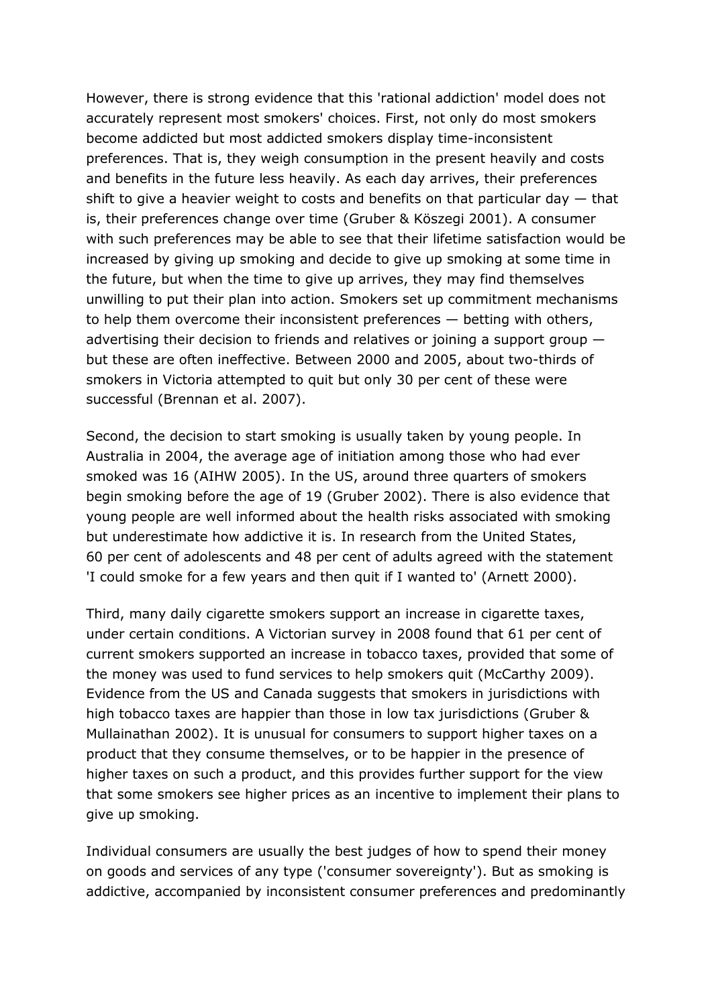However, there is strong evidence that this 'rational addiction' model does not accurately represent most smokers' choices. First, not only do most smokers become addicted but most addicted smokers display time-inconsistent preferences. That is, they weigh consumption in the present heavily and costs and benefits in the future less heavily. As each day arrives, their preferences shift to give a heavier weight to costs and benefits on that particular day  $-$  that is, their preferences change over time (Gruber & Köszegi 2001). A consumer with such preferences may be able to see that their lifetime satisfaction would be increased by giving up smoking and decide to give up smoking at some time in the future, but when the time to give up arrives, they may find themselves unwilling to put their plan into action. Smokers set up commitment mechanisms to help them overcome their inconsistent preferences — betting with others, advertising their decision to friends and relatives or joining a support group but these are often ineffective. Between 2000 and 2005, about two-thirds of smokers in Victoria attempted to quit but only 30 per cent of these were successful (Brennan et al. 2007).

Second, the decision to start smoking is usually taken by young people. In Australia in 2004, the average age of initiation among those who had ever smoked was 16 (AIHW 2005). In the US, around three quarters of smokers begin smoking before the age of 19 (Gruber 2002). There is also evidence that young people are well informed about the health risks associated with smoking but underestimate how addictive it is. In research from the United States, 60 per cent of adolescents and 48 per cent of adults agreed with the statement 'I could smoke for a few years and then quit if I wanted to' (Arnett 2000).

Third, many daily cigarette smokers support an increase in cigarette taxes, under certain conditions. A Victorian survey in 2008 found that 61 per cent of current smokers supported an increase in tobacco taxes, provided that some of the money was used to fund services to help smokers quit (McCarthy 2009). Evidence from the US and Canada suggests that smokers in jurisdictions with high tobacco taxes are happier than those in low tax jurisdictions (Gruber & Mullainathan 2002). It is unusual for consumers to support higher taxes on a product that they consume themselves, or to be happier in the presence of higher taxes on such a product, and this provides further support for the view that some smokers see higher prices as an incentive to implement their plans to give up smoking.

Individual consumers are usually the best judges of how to spend their money on goods and services of any type ('consumer sovereignty'). But as smoking is addictive, accompanied by inconsistent consumer preferences and predominantly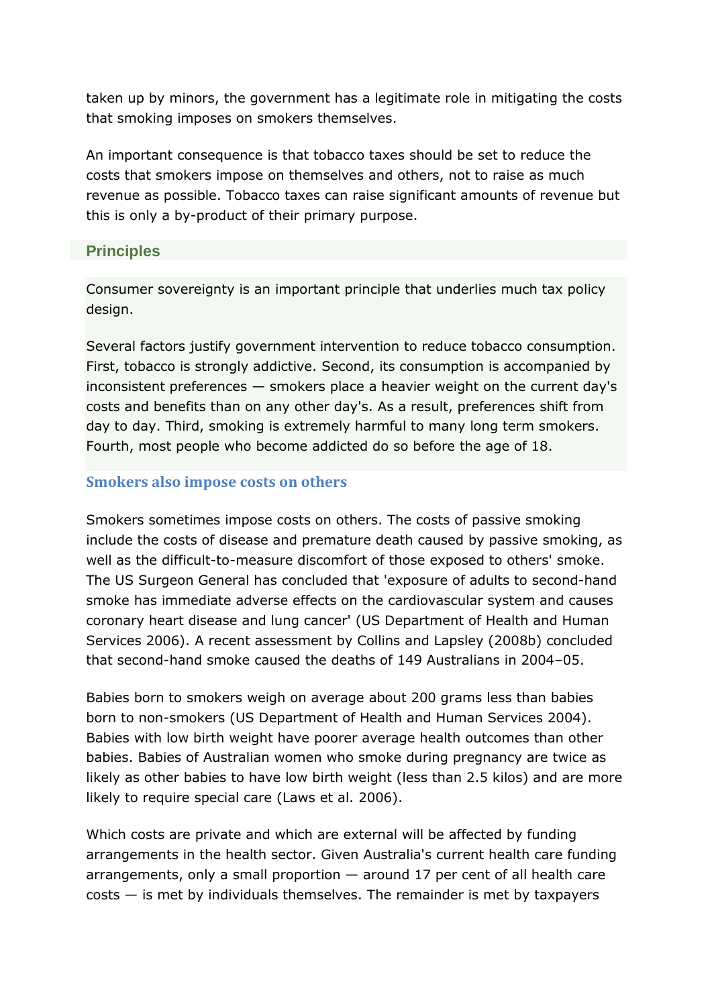taken up by minors, the government has a legitimate role in mitigating the costs that smoking imposes on smokers themselves.

An important consequence is that tobacco taxes should be set to reduce the costs that smokers impose on themselves and others, not to raise as much revenue as possible. Tobacco taxes can raise significant amounts of revenue but this is only a by-product of their primary purpose.

### **Principles**

Consumer sovereignty is an important principle that underlies much tax policy design.

Several factors justify government intervention to reduce tobacco consumption. First, tobacco is strongly addictive. Second, its consumption is accompanied by inconsistent preferences — smokers place a heavier weight on the current day's costs and benefits than on any other day's. As a result, preferences shift from day to day. Third, smoking is extremely harmful to many long term smokers. Fourth, most people who become addicted do so before the age of 18.

### **Smokers also impose costs on others**

Smokers sometimes impose costs on others. The costs of passive smoking include the costs of disease and premature death caused by passive smoking, as well as the difficult-to-measure discomfort of those exposed to others' smoke. The US Surgeon General has concluded that 'exposure of adults to second-hand smoke has immediate adverse effects on the cardiovascular system and causes coronary heart disease and lung cancer' (US Department of Health and Human Services 2006). A recent assessment by Collins and Lapsley (2008b) concluded that second-hand smoke caused the deaths of 149 Australians in 2004–05.

Babies born to smokers weigh on average about 200 grams less than babies born to non-smokers (US Department of Health and Human Services 2004). Babies with low birth weight have poorer average health outcomes than other babies. Babies of Australian women who smoke during pregnancy are twice as likely as other babies to have low birth weight (less than 2.5 kilos) and are more likely to require special care (Laws et al. 2006).

Which costs are private and which are external will be affected by funding arrangements in the health sector. Given Australia's current health care funding arrangements, only a small proportion — around 17 per cent of all health care  $costs - is met by individuals themselves. The remainder is met by taxpayers$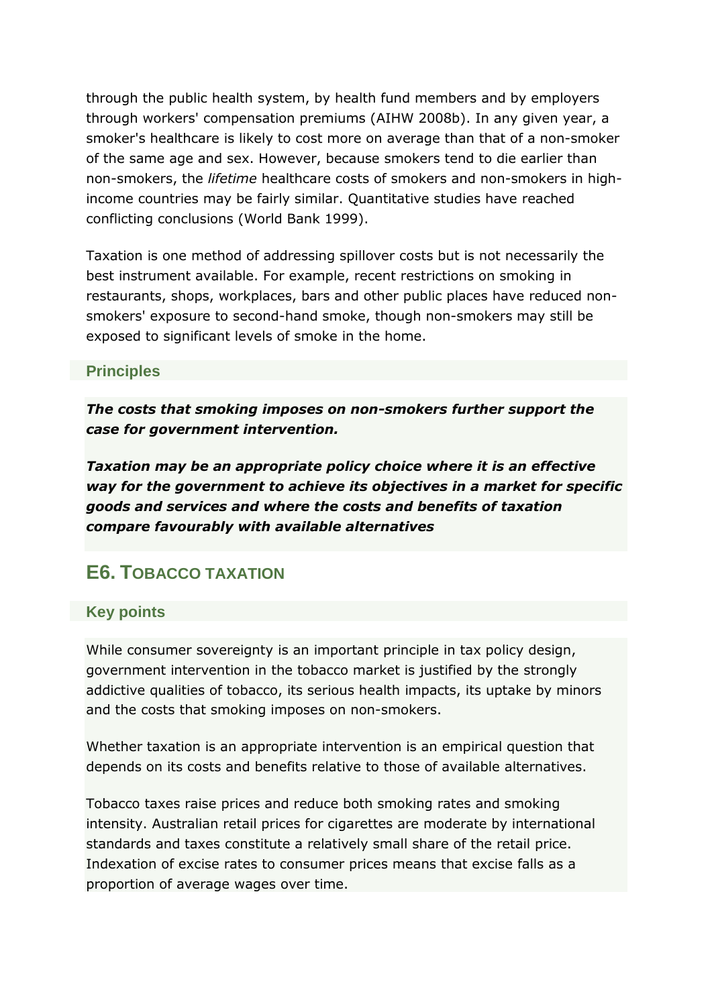through the public health system, by health fund members and by employers through workers' compensation premiums (AIHW 2008b). In any given year, a smoker's healthcare is likely to cost more on average than that of a non-smoker of the same age and sex. However, because smokers tend to die earlier than non-smokers, the *lifetime* healthcare costs of smokers and non-smokers in highincome countries may be fairly similar. Quantitative studies have reached conflicting conclusions (World Bank 1999).

Taxation is one method of addressing spillover costs but is not necessarily the best instrument available. For example, recent restrictions on smoking in restaurants, shops, workplaces, bars and other public places have reduced nonsmokers' exposure to second-hand smoke, though non-smokers may still be exposed to significant levels of smoke in the home.

### **Principles**

*The costs that smoking imposes on non-smokers further support the case for government intervention.*

*Taxation may be an appropriate policy choice where it is an effective way for the government to achieve its objectives in a market for specific goods and services and where the costs and benefits of taxation compare favourably with available alternatives*

# **E6. TOBACCO TAXATION**

### **Key points**

While consumer sovereignty is an important principle in tax policy design, government intervention in the tobacco market is justified by the strongly addictive qualities of tobacco, its serious health impacts, its uptake by minors and the costs that smoking imposes on non-smokers.

Whether taxation is an appropriate intervention is an empirical question that depends on its costs and benefits relative to those of available alternatives.

Tobacco taxes raise prices and reduce both smoking rates and smoking intensity. Australian retail prices for cigarettes are moderate by international standards and taxes constitute a relatively small share of the retail price. Indexation of excise rates to consumer prices means that excise falls as a proportion of average wages over time.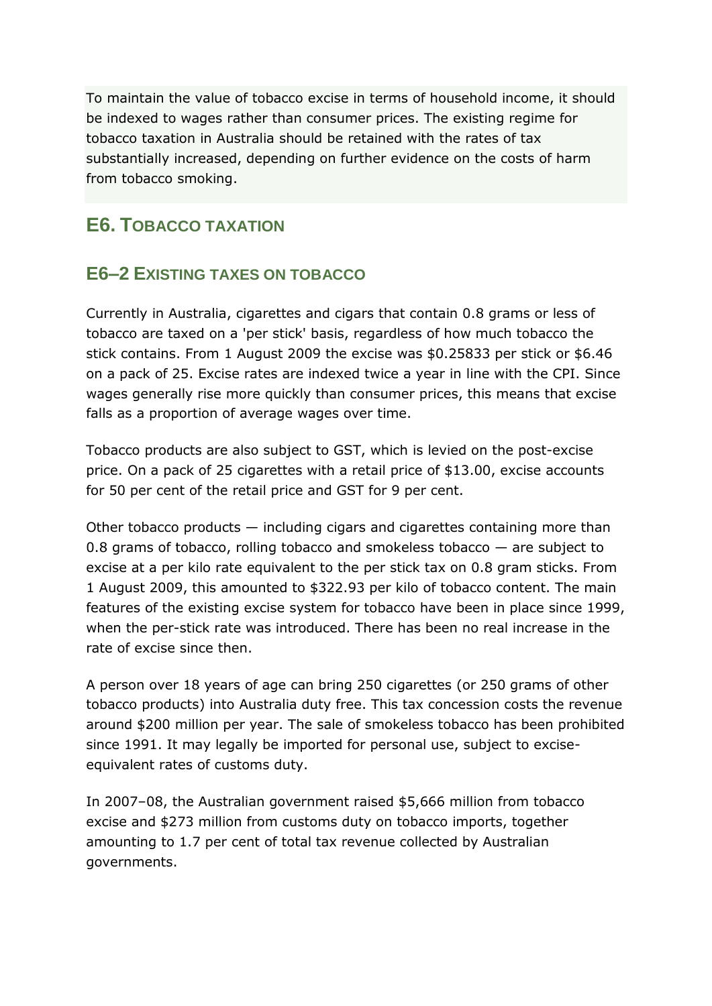To maintain the value of tobacco excise in terms of household income, it should be indexed to wages rather than consumer prices. The existing regime for tobacco taxation in Australia should be retained with the rates of tax substantially increased, depending on further evidence on the costs of harm from tobacco smoking.

# **E6. TOBACCO TAXATION**

## **E6–2 EXISTING TAXES ON TOBACCO**

Currently in Australia, cigarettes and cigars that contain 0.8 grams or less of tobacco are taxed on a 'per stick' basis, regardless of how much tobacco the stick contains. From 1 August 2009 the excise was \$0.25833 per stick or \$6.46 on a pack of 25. Excise rates are indexed twice a year in line with the CPI. Since wages generally rise more quickly than consumer prices, this means that excise falls as a proportion of average wages over time.

Tobacco products are also subject to GST, which is levied on the post-excise price. On a pack of 25 cigarettes with a retail price of \$13.00, excise accounts for 50 per cent of the retail price and GST for 9 per cent.

Other tobacco products — including cigars and cigarettes containing more than 0.8 grams of tobacco, rolling tobacco and smokeless tobacco — are subject to excise at a per kilo rate equivalent to the per stick tax on 0.8 gram sticks. From 1 August 2009, this amounted to \$322.93 per kilo of tobacco content. The main features of the existing excise system for tobacco have been in place since 1999, when the per-stick rate was introduced. There has been no real increase in the rate of excise since then.

A person over 18 years of age can bring 250 cigarettes (or 250 grams of other tobacco products) into Australia duty free. This tax concession costs the revenue around \$200 million per year. The sale of smokeless tobacco has been prohibited since 1991. It may legally be imported for personal use, subject to exciseequivalent rates of customs duty.

In 2007–08, the Australian government raised \$5,666 million from tobacco excise and \$273 million from customs duty on tobacco imports, together amounting to 1.7 per cent of total tax revenue collected by Australian governments.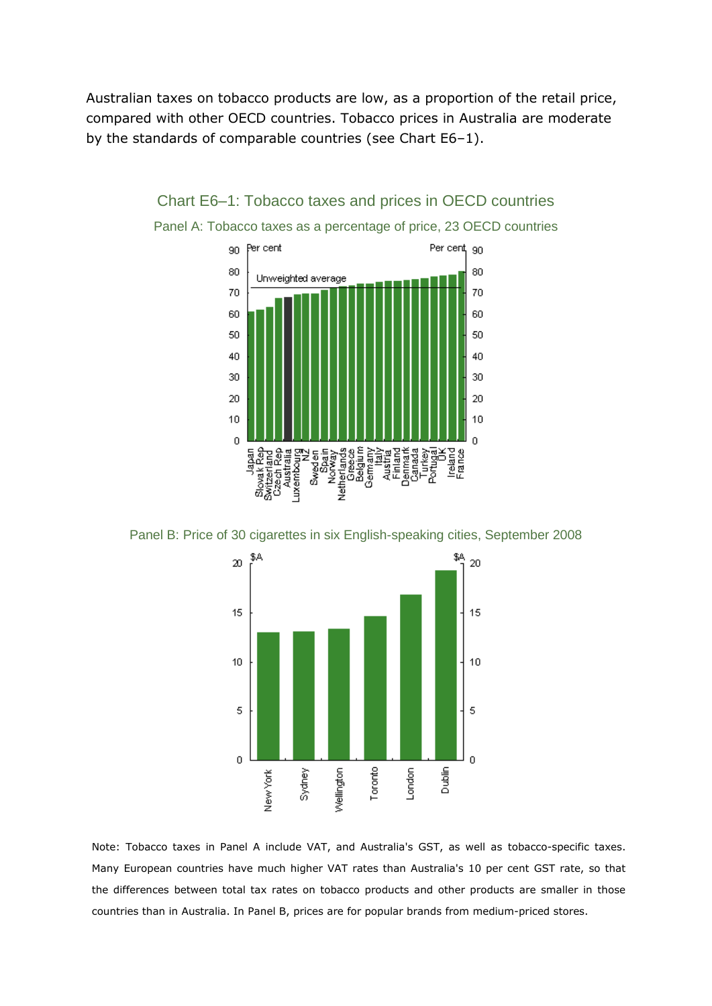Australian taxes on tobacco products are low, as a proportion of the retail price, compared with other OECD countries. Tobacco prices in Australia are moderate by the standards of comparable countries (see Chart E6–1).



Chart E6–1: Tobacco taxes and prices in OECD countries

Panel A: Tobacco taxes as a percentage of price, 23 OECD countries

Panel B: Price of 30 cigarettes in six English-speaking cities, September 2008



Note: Tobacco taxes in Panel A include VAT, and Australia's GST, as well as tobacco-specific taxes. Many European countries have much higher VAT rates than Australia's 10 per cent GST rate, so that the differences between total tax rates on tobacco products and other products are smaller in those countries than in Australia. In Panel B, prices are for popular brands from medium-priced stores.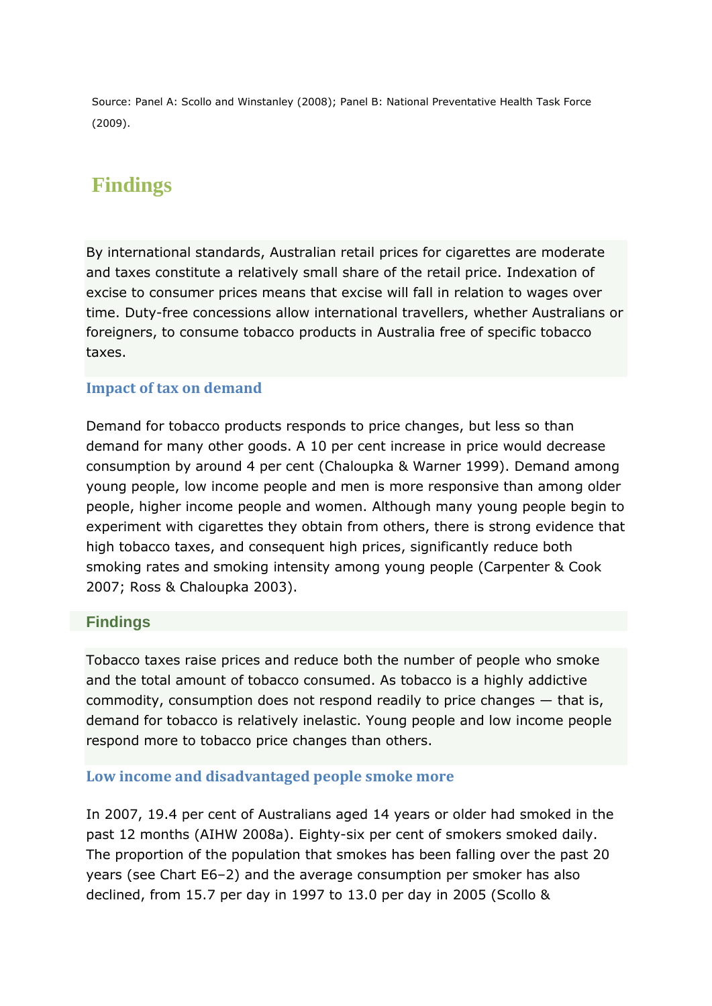Source: Panel A: Scollo and Winstanley (2008); Panel B: National Preventative Health Task Force (2009).

# **Findings**

By international standards, Australian retail prices for cigarettes are moderate and taxes constitute a relatively small share of the retail price. Indexation of excise to consumer prices means that excise will fall in relation to wages over time. Duty-free concessions allow international travellers, whether Australians or foreigners, to consume tobacco products in Australia free of specific tobacco taxes.

### **Impact of tax on demand**

Demand for tobacco products responds to price changes, but less so than demand for many other goods. A 10 per cent increase in price would decrease consumption by around 4 per cent (Chaloupka & Warner 1999). Demand among young people, low income people and men is more responsive than among older people, higher income people and women. Although many young people begin to experiment with cigarettes they obtain from others, there is strong evidence that high tobacco taxes, and consequent high prices, significantly reduce both smoking rates and smoking intensity among young people (Carpenter & Cook 2007; Ross & Chaloupka 2003).

### **Findings**

Tobacco taxes raise prices and reduce both the number of people who smoke and the total amount of tobacco consumed. As tobacco is a highly addictive commodity, consumption does not respond readily to price changes — that is, demand for tobacco is relatively inelastic. Young people and low income people respond more to tobacco price changes than others.

### **Low income and disadvantaged people smoke more**

In 2007, 19.4 per cent of Australians aged 14 years or older had smoked in the past 12 months (AIHW 2008a). Eighty-six per cent of smokers smoked daily. The proportion of the population that smokes has been falling over the past 20 years (see Chart E6–2) and the average consumption per smoker has also declined, from 15.7 per day in 1997 to 13.0 per day in 2005 (Scollo &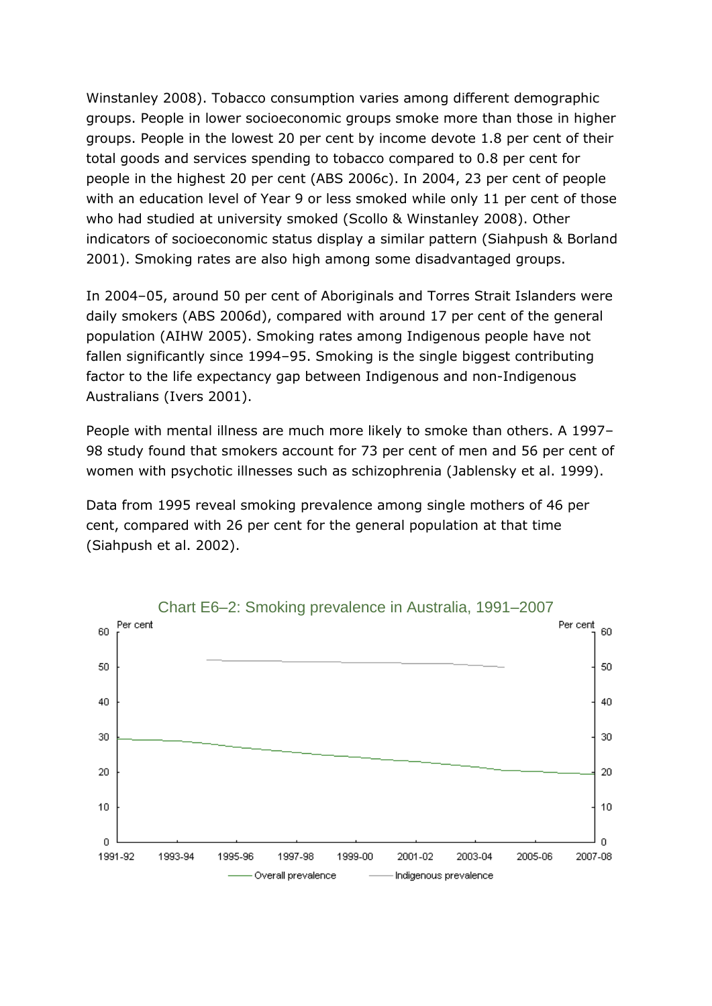Winstanley 2008). Tobacco consumption varies among different demographic groups. People in lower socioeconomic groups smoke more than those in higher groups. People in the lowest 20 per cent by income devote 1.8 per cent of their total goods and services spending to tobacco compared to 0.8 per cent for people in the highest 20 per cent (ABS 2006c). In 2004, 23 per cent of people with an education level of Year 9 or less smoked while only 11 per cent of those who had studied at university smoked (Scollo & Winstanley 2008). Other indicators of socioeconomic status display a similar pattern (Siahpush & Borland 2001). Smoking rates are also high among some disadvantaged groups.

In 2004–05, around 50 per cent of Aboriginals and Torres Strait Islanders were daily smokers (ABS 2006d), compared with around 17 per cent of the general population (AIHW 2005). Smoking rates among Indigenous people have not fallen significantly since 1994–95. Smoking is the single biggest contributing factor to the life expectancy gap between Indigenous and non-Indigenous Australians (Ivers 2001).

People with mental illness are much more likely to smoke than others. A 1997– 98 study found that smokers account for 73 per cent of men and 56 per cent of women with psychotic illnesses such as schizophrenia (Jablensky et al. 1999).

Data from 1995 reveal smoking prevalence among single mothers of 46 per cent, compared with 26 per cent for the general population at that time (Siahpush et al. 2002).

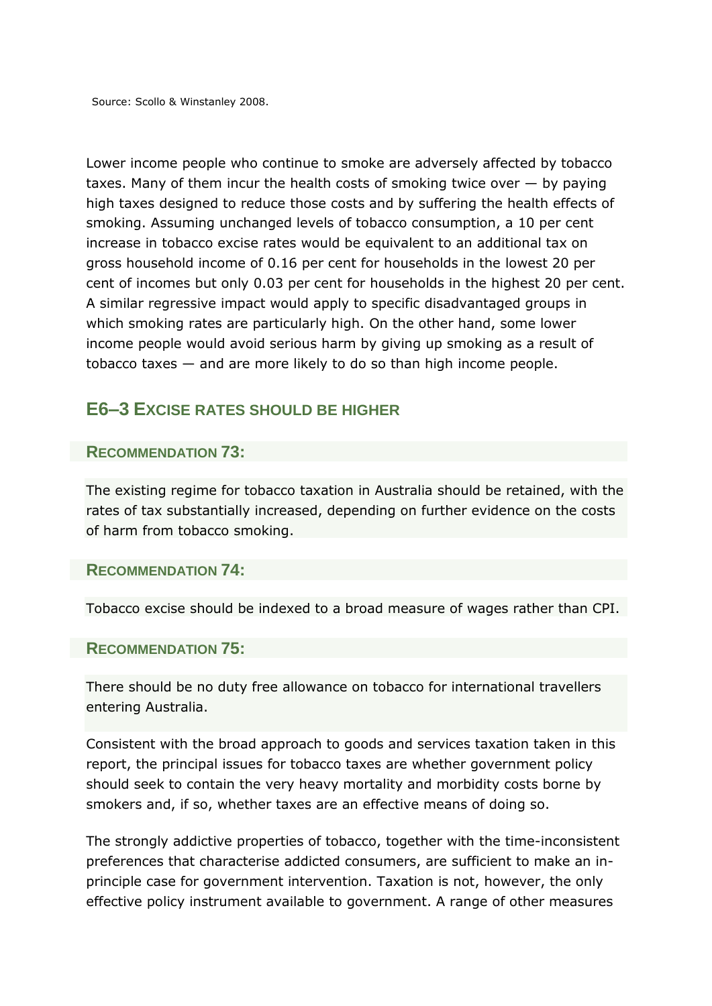Source: Scollo & Winstanley 2008.

Lower income people who continue to smoke are adversely affected by tobacco taxes. Many of them incur the health costs of smoking twice over — by paying high taxes designed to reduce those costs and by suffering the health effects of smoking. Assuming unchanged levels of tobacco consumption, a 10 per cent increase in tobacco excise rates would be equivalent to an additional tax on gross household income of 0.16 per cent for households in the lowest 20 per cent of incomes but only 0.03 per cent for households in the highest 20 per cent. A similar regressive impact would apply to specific disadvantaged groups in which smoking rates are particularly high. On the other hand, some lower income people would avoid serious harm by giving up smoking as a result of tobacco taxes — and are more likely to do so than high income people.

## **E6–3 EXCISE RATES SHOULD BE HIGHER**

#### **RECOMMENDATION 73:**

The existing regime for tobacco taxation in Australia should be retained, with the rates of tax substantially increased, depending on further evidence on the costs of harm from tobacco smoking.

#### **RECOMMENDATION 74:**

Tobacco excise should be indexed to a broad measure of wages rather than CPI.

#### **RECOMMENDATION 75:**

There should be no duty free allowance on tobacco for international travellers entering Australia.

Consistent with the broad approach to goods and services taxation taken in this report, the principal issues for tobacco taxes are whether government policy should seek to contain the very heavy mortality and morbidity costs borne by smokers and, if so, whether taxes are an effective means of doing so.

The strongly addictive properties of tobacco, together with the time-inconsistent preferences that characterise addicted consumers, are sufficient to make an inprinciple case for government intervention. Taxation is not, however, the only effective policy instrument available to government. A range of other measures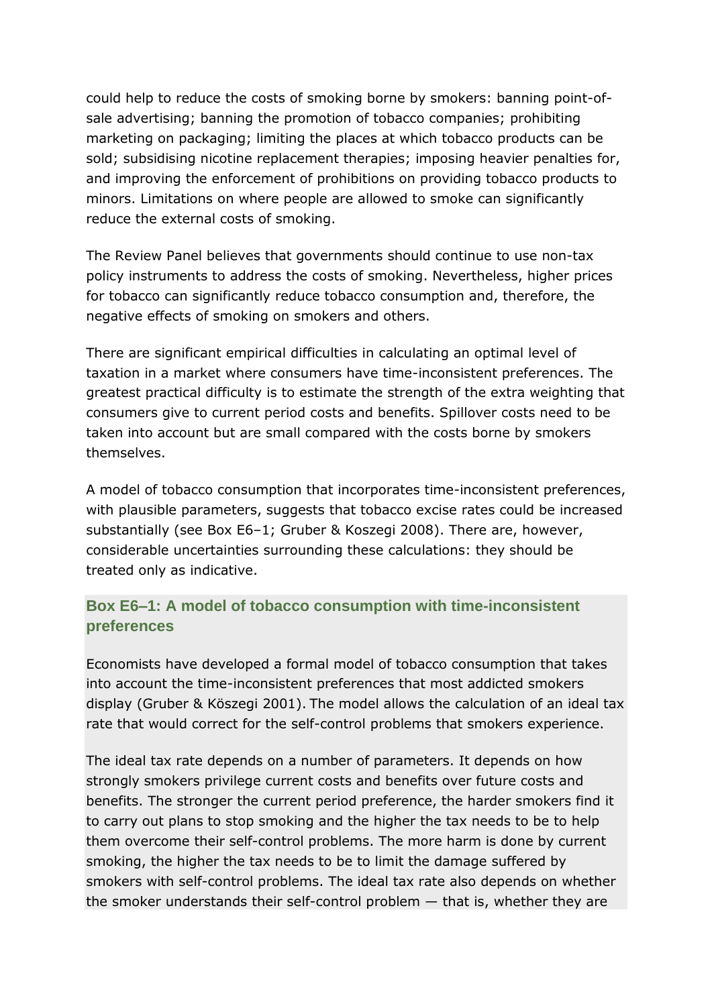could help to reduce the costs of smoking borne by smokers: banning point-ofsale advertising; banning the promotion of tobacco companies; prohibiting marketing on packaging; limiting the places at which tobacco products can be sold; subsidising nicotine replacement therapies; imposing heavier penalties for, and improving the enforcement of prohibitions on providing tobacco products to minors. Limitations on where people are allowed to smoke can significantly reduce the external costs of smoking.

The Review Panel believes that governments should continue to use non-tax policy instruments to address the costs of smoking. Nevertheless, higher prices for tobacco can significantly reduce tobacco consumption and, therefore, the negative effects of smoking on smokers and others.

There are significant empirical difficulties in calculating an optimal level of taxation in a market where consumers have time-inconsistent preferences. The greatest practical difficulty is to estimate the strength of the extra weighting that consumers give to current period costs and benefits. Spillover costs need to be taken into account but are small compared with the costs borne by smokers themselves.

A model of tobacco consumption that incorporates time-inconsistent preferences, with plausible parameters, suggests that tobacco excise rates could be increased substantially (see Box E6–1; Gruber & Koszegi 2008). There are, however, considerable uncertainties surrounding these calculations: they should be treated only as indicative.

## **Box E6–1: A model of tobacco consumption with time-inconsistent preferences**

Economists have developed a formal model of tobacco consumption that takes into account the time-inconsistent preferences that most addicted smokers display (Gruber & Köszegi 2001). The model allows the calculation of an ideal tax rate that would correct for the self-control problems that smokers experience.

The ideal tax rate depends on a number of parameters. It depends on how strongly smokers privilege current costs and benefits over future costs and benefits. The stronger the current period preference, the harder smokers find it to carry out plans to stop smoking and the higher the tax needs to be to help them overcome their self-control problems. The more harm is done by current smoking, the higher the tax needs to be to limit the damage suffered by smokers with self-control problems. The ideal tax rate also depends on whether the smoker understands their self-control problem — that is, whether they are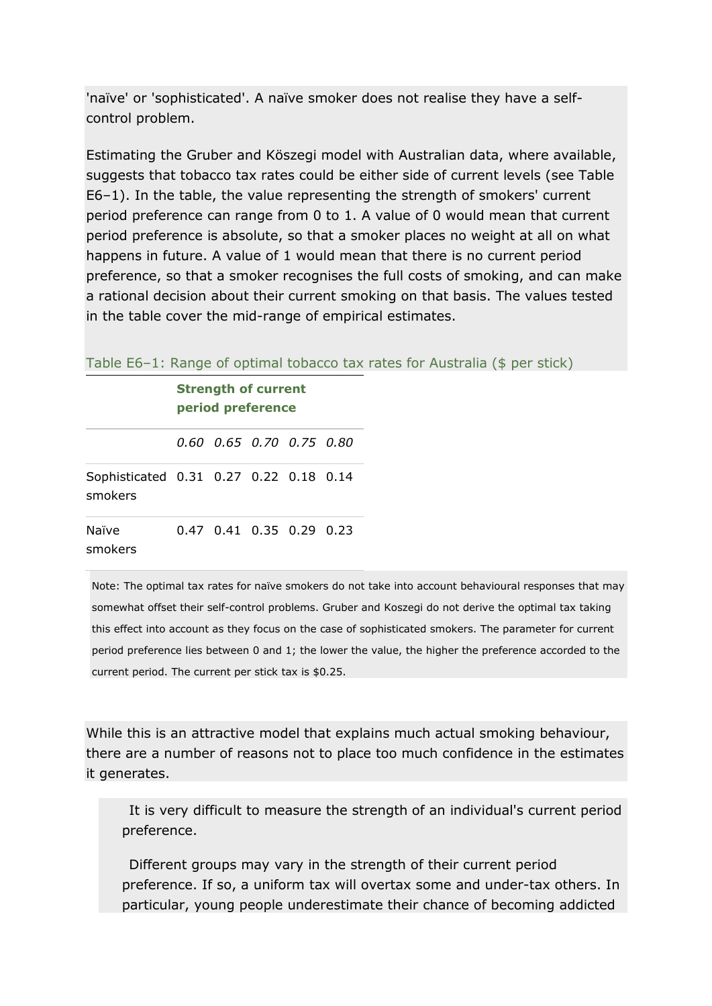'naïve' or 'sophisticated'. A naïve smoker does not realise they have a selfcontrol problem.

Estimating the Gruber and Köszegi model with Australian data, where available, suggests that tobacco tax rates could be either side of current levels (see Table E6–1). In the table, the value representing the strength of smokers' current period preference can range from 0 to 1. A value of 0 would mean that current period preference is absolute, so that a smoker places no weight at all on what happens in future. A value of 1 would mean that there is no current period preference, so that a smoker recognises the full costs of smoking, and can make a rational decision about their current smoking on that basis. The values tested in the table cover the mid-range of empirical estimates.

| Table E6-1: Range of optimal tobacco tax rates for Australia (\$ per stick) |
|-----------------------------------------------------------------------------|
|-----------------------------------------------------------------------------|

|                                                   | <b>Strength of current</b><br>period preference |                            |  |  |  |
|---------------------------------------------------|-------------------------------------------------|----------------------------|--|--|--|
|                                                   |                                                 | 0.60 0.65 0.70 0.75 0.80   |  |  |  |
| Sophisticated 0.31 0.27 0.22 0.18 0.14<br>smokers |                                                 |                            |  |  |  |
| Naïve<br>smokers                                  |                                                 | $0.47$ 0.41 0.35 0.29 0.23 |  |  |  |

Note: The optimal tax rates for naïve smokers do not take into account behavioural responses that may somewhat offset their self-control problems. Gruber and Koszegi do not derive the optimal tax taking this effect into account as they focus on the case of sophisticated smokers. The parameter for current period preference lies between 0 and 1; the lower the value, the higher the preference accorded to the current period. The current per stick tax is \$0.25.

While this is an attractive model that explains much actual smoking behaviour, there are a number of reasons not to place too much confidence in the estimates it generates.

It is very difficult to measure the strength of an individual's current period preference.

Different groups may vary in the strength of their current period preference. If so, a uniform tax will overtax some and under-tax others. In particular, young people underestimate their chance of becoming addicted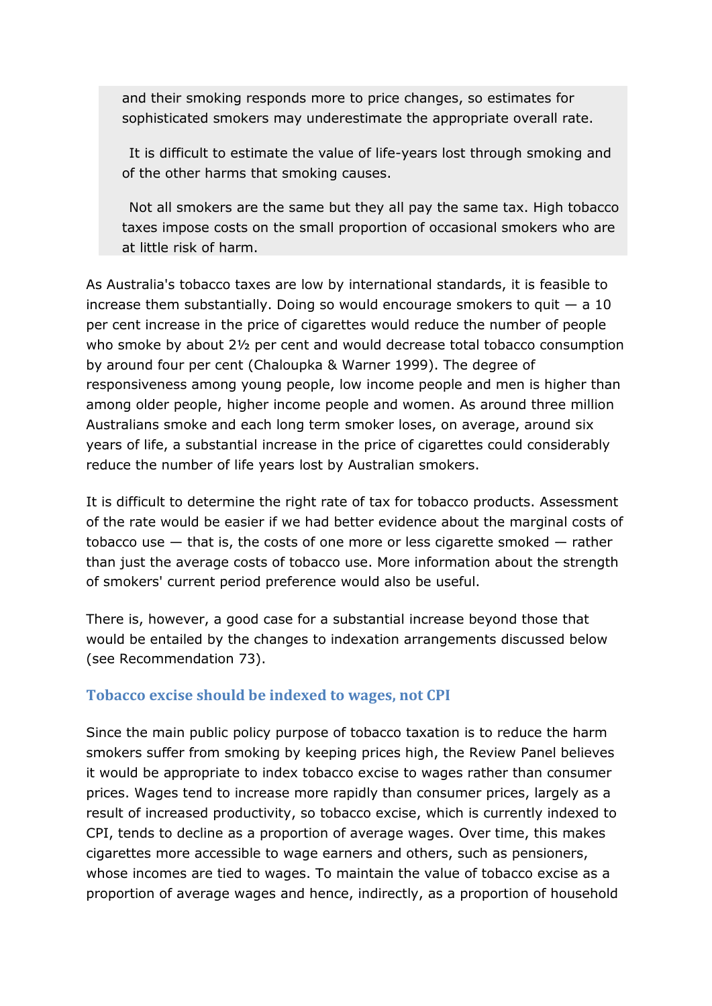and their smoking responds more to price changes, so estimates for sophisticated smokers may underestimate the appropriate overall rate.

It is difficult to estimate the value of life-years lost through smoking and of the other harms that smoking causes.

Not all smokers are the same but they all pay the same tax. High tobacco taxes impose costs on the small proportion of occasional smokers who are at little risk of harm.

As Australia's tobacco taxes are low by international standards, it is feasible to increase them substantially. Doing so would encourage smokers to quit  $-$  a 10 per cent increase in the price of cigarettes would reduce the number of people who smoke by about 2½ per cent and would decrease total tobacco consumption by around four per cent (Chaloupka & Warner 1999). The degree of responsiveness among young people, low income people and men is higher than among older people, higher income people and women. As around three million Australians smoke and each long term smoker loses, on average, around six years of life, a substantial increase in the price of cigarettes could considerably reduce the number of life years lost by Australian smokers.

It is difficult to determine the right rate of tax for tobacco products. Assessment of the rate would be easier if we had better evidence about the marginal costs of tobacco use — that is, the costs of one more or less cigarette smoked — rather than just the average costs of tobacco use. More information about the strength of smokers' current period preference would also be useful.

There is, however, a good case for a substantial increase beyond those that would be entailed by the changes to indexation arrangements discussed below (see Recommendation 73).

### **Tobacco excise should be indexed to wages, not CPI**

Since the main public policy purpose of tobacco taxation is to reduce the harm smokers suffer from smoking by keeping prices high, the Review Panel believes it would be appropriate to index tobacco excise to wages rather than consumer prices. Wages tend to increase more rapidly than consumer prices, largely as a result of increased productivity, so tobacco excise, which is currently indexed to CPI, tends to decline as a proportion of average wages. Over time, this makes cigarettes more accessible to wage earners and others, such as pensioners, whose incomes are tied to wages. To maintain the value of tobacco excise as a proportion of average wages and hence, indirectly, as a proportion of household